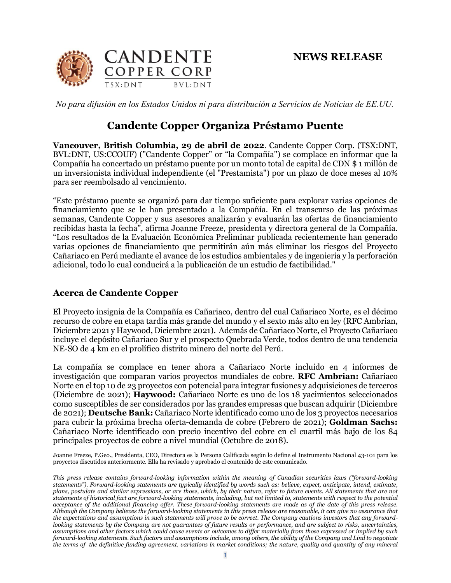

*No para difusión en los Estados Unidos ni para distribución a Servicios de Noticias de EE.UU.*

## **Candente Copper Organiza Préstamo Puente**

**Vancouver, British Columbia, 29 de abril de 2022**. Candente Copper Corp. (TSX:DNT, BVL:DNT, US:CCOUF) ("Candente Copper" or "la Compañía") se complace en informar que la Compañía ha concertado un préstamo puente por un monto total de capital de CDN \$ 1 millón de un inversionista individual independiente (el "Prestamista") por un plazo de doce meses al 10% para ser reembolsado al vencimiento.

"Este préstamo puente se organizó para dar tiempo suficiente para explorar varias opciones de financiamiento que se le han presentado a la Compañía. En el transcurso de las próximas semanas, Candente Copper y sus asesores analizarán y evaluarán las ofertas de financiamiento recibidas hasta la fecha", afirma Joanne Freeze, presidenta y directora general de la Compañía. "Los resultados de la Evaluación Económica Preliminar publicada recientemente han generado varias opciones de financiamiento que permitirán aún más eliminar los riesgos del Proyecto Cañariaco en Perú mediante el avance de los estudios ambientales y de ingeniería y la perforación adicional, todo lo cual conducirá a la publicación de un estudio de factibilidad."

## **Acerca de Candente Copper**

El Proyecto insignia de la Compañía es Cañariaco, dentro del cual Cañariaco Norte, es el décimo recurso de cobre en etapa tardía más grande del mundo y el sexto más alto en ley (RFC Ambrian, Diciembre 2021 y Haywood, Diciembre 2021). Además de Cañariaco Norte, el Proyecto Cañariaco incluye el depósito Cañariaco Sur y el prospecto Quebrada Verde, todos dentro de una tendencia NE-SO de 4 km en el prolífico distrito minero del norte del Perú.

La compañía se complace en tener ahora a Cañariaco Norte incluido en 4 informes de investigación que comparan varios proyectos mundiales de cobre. **RFC Ambrian:** Cañariaco Norte en el top 10 de 23 proyectos con potencial para integrar fusiones y adquisiciones de terceros (Diciembre de 2021); **Haywood:** Cañariaco Norte es uno de los 18 yacimientos seleccionados como susceptibles de ser considerados por las grandes empresas que buscan adquirir (Diciembre de 2021); **Deutsche Bank:** Cañariaco Norte identificado como uno de los 3 proyectos necesarios para cubrir la próxima brecha oferta-demanda de cobre (Febrero de 2021); **Goldman Sachs:** Cañariaco Norte identificado con precio incentivo del cobre en el cuartil más bajo de los 84 principales proyectos de cobre a nivel mundial (Octubre de 2018).

Joanne Freeze, P.Geo., Presidenta, CEO, Directora es la Persona Calificada según lo define el Instrumento Nacional 43-101 para los proyectos discutidos anteriormente. Ella ha revisado y aprobado el contenido de este comunicado.

*This press release contains forward-looking information within the meaning of Canadian securities laws ("forward-looking statements"). Forward-looking statements are typically identified by words such as: believe, expect, anticipate, intend, estimate, plans, postulate and similar expressions, or are those, which, by their nature, refer to future events. All statements that are not statements of historical fact are forward-looking statements, including, but not limited to, statements with respect to the potential acceptance of the additional financing offer. These forward-looking statements are made as of the date of this press release. Although the Company believes the forward-looking statements in this press release are reasonable, it can give no assurance that the expectations and assumptions in such statements will prove to be correct. The Company cautions investors that any forwardlooking statements by the Company are not quarantees of future results or performance, and are subject to risks, uncertainties, assumptions and other factors which could cause events or outcomes to differ materially from those expressed or implied by such forward-looking statements. Such factors and assumptions include, among others, the ability of the Company and Lind to negotiate the terms of the definitive funding agreement, variations in market conditions; the nature, quality and quantity of any mineral*